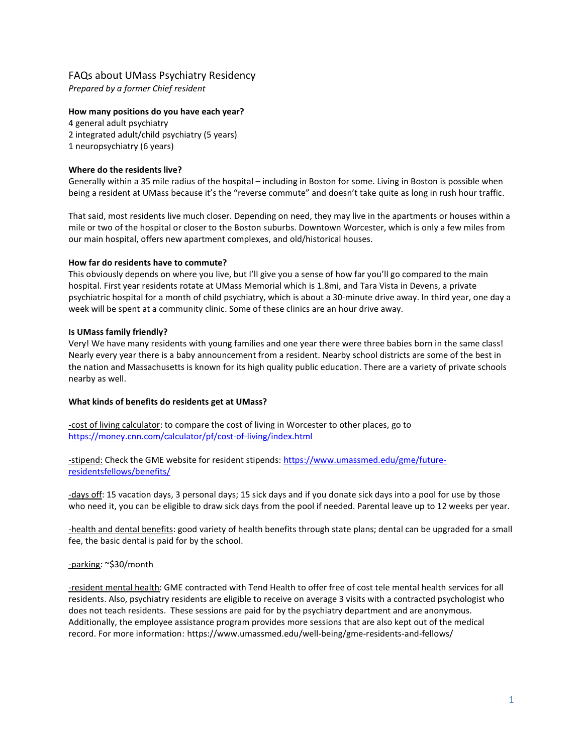# FAQs about UMass Psychiatry Residency

Prepared by a former Chief resident

## How many positions do you have each year?

4 general adult psychiatry 2 integrated adult/child psychiatry (5 years) 1 neuropsychiatry (6 years)

## Where do the residents live?

Generally within a 35 mile radius of the hospital – including in Boston for some. Living in Boston is possible when being a resident at UMass because it's the "reverse commute" and doesn't take quite as long in rush hour traffic.

That said, most residents live much closer. Depending on need, they may live in the apartments or houses within a mile or two of the hospital or closer to the Boston suburbs. Downtown Worcester, which is only a few miles from our main hospital, offers new apartment complexes, and old/historical houses.

## How far do residents have to commute?

This obviously depends on where you live, but I'll give you a sense of how far you'll go compared to the main hospital. First year residents rotate at UMass Memorial which is 1.8mi, and Tara Vista in Devens, a private psychiatric hospital for a month of child psychiatry, which is about a 30-minute drive away. In third year, one day a week will be spent at a community clinic. Some of these clinics are an hour drive away.

## Is UMass family friendly?

Very! We have many residents with young families and one year there were three babies born in the same class! Nearly every year there is a baby announcement from a resident. Nearby school districts are some of the best in the nation and Massachusetts is known for its high quality public education. There are a variety of private schools nearby as well.

## What kinds of benefits do residents get at UMass?

-cost of living calculator: to compare the cost of living in Worcester to other places, go to https://money.cnn.com/calculator/pf/cost-of-living/index.html

-stipend: Check the GME website for resident stipends: https://www.umassmed.edu/gme/futureresidentsfellows/benefits/

-days off: 15 vacation days, 3 personal days; 15 sick days and if you donate sick days into a pool for use by those who need it, you can be eligible to draw sick days from the pool if needed. Parental leave up to 12 weeks per year.

-health and dental benefits: good variety of health benefits through state plans; dental can be upgraded for a small fee, the basic dental is paid for by the school.

## -parking: ~\$30/month

-resident mental health: GME contracted with Tend Health to offer free of cost tele mental health services for all residents. Also, psychiatry residents are eligible to receive on average 3 visits with a contracted psychologist who does not teach residents. These sessions are paid for by the psychiatry department and are anonymous. Additionally, the employee assistance program provides more sessions that are also kept out of the medical record. For more information: https://www.umassmed.edu/well-being/gme-residents-and-fellows/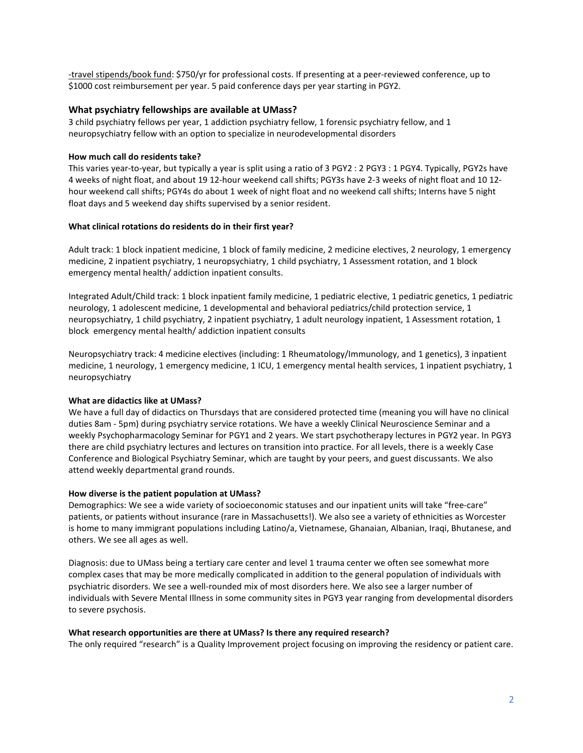-travel stipends/book fund: \$750/yr for professional costs. If presenting at a peer-reviewed conference, up to \$1000 cost reimbursement per year. 5 paid conference days per year starting in PGY2.

### What psychiatry fellowships are available at UMass?

3 child psychiatry fellows per year, 1 addiction psychiatry fellow, 1 forensic psychiatry fellow, and 1 neuropsychiatry fellow with an option to specialize in neurodevelopmental disorders

#### How much call do residents take?

This varies year-to-year, but typically a year is split using a ratio of 3 PGY2 : 2 PGY3 : 1 PGY4. Typically, PGY2s have 4 weeks of night float, and about 19 12-hour weekend call shifts; PGY3s have 2-3 weeks of night float and 10 12 hour weekend call shifts; PGY4s do about 1 week of night float and no weekend call shifts; Interns have 5 night float days and 5 weekend day shifts supervised by a senior resident.

#### What clinical rotations do residents do in their first year?

Adult track: 1 block inpatient medicine, 1 block of family medicine, 2 medicine electives, 2 neurology, 1 emergency medicine, 2 inpatient psychiatry, 1 neuropsychiatry, 1 child psychiatry, 1 Assessment rotation, and 1 block emergency mental health/ addiction inpatient consults.

Integrated Adult/Child track: 1 block inpatient family medicine, 1 pediatric elective, 1 pediatric genetics, 1 pediatric neurology, 1 adolescent medicine, 1 developmental and behavioral pediatrics/child protection service, 1 neuropsychiatry, 1 child psychiatry, 2 inpatient psychiatry, 1 adult neurology inpatient, 1 Assessment rotation, 1 block emergency mental health/ addiction inpatient consults

Neuropsychiatry track: 4 medicine electives (including: 1 Rheumatology/Immunology, and 1 genetics), 3 inpatient medicine, 1 neurology, 1 emergency medicine, 1 ICU, 1 emergency mental health services, 1 inpatient psychiatry, 1 neuropsychiatry

### What are didactics like at UMass?

We have a full day of didactics on Thursdays that are considered protected time (meaning you will have no clinical duties 8am - 5pm) during psychiatry service rotations. We have a weekly Clinical Neuroscience Seminar and a weekly Psychopharmacology Seminar for PGY1 and 2 years. We start psychotherapy lectures in PGY2 year. In PGY3 there are child psychiatry lectures and lectures on transition into practice. For all levels, there is a weekly Case Conference and Biological Psychiatry Seminar, which are taught by your peers, and guest discussants. We also attend weekly departmental grand rounds.

#### How diverse is the patient population at UMass?

Demographics: We see a wide variety of socioeconomic statuses and our inpatient units will take "free-care" patients, or patients without insurance (rare in Massachusetts!). We also see a variety of ethnicities as Worcester is home to many immigrant populations including Latino/a, Vietnamese, Ghanaian, Albanian, Iraqi, Bhutanese, and others. We see all ages as well.

Diagnosis: due to UMass being a tertiary care center and level 1 trauma center we often see somewhat more complex cases that may be more medically complicated in addition to the general population of individuals with psychiatric disorders. We see a well-rounded mix of most disorders here. We also see a larger number of individuals with Severe Mental Illness in some community sites in PGY3 year ranging from developmental disorders to severe psychosis.

#### What research opportunities are there at UMass? Is there any required research?

The only required "research" is a Quality Improvement project focusing on improving the residency or patient care.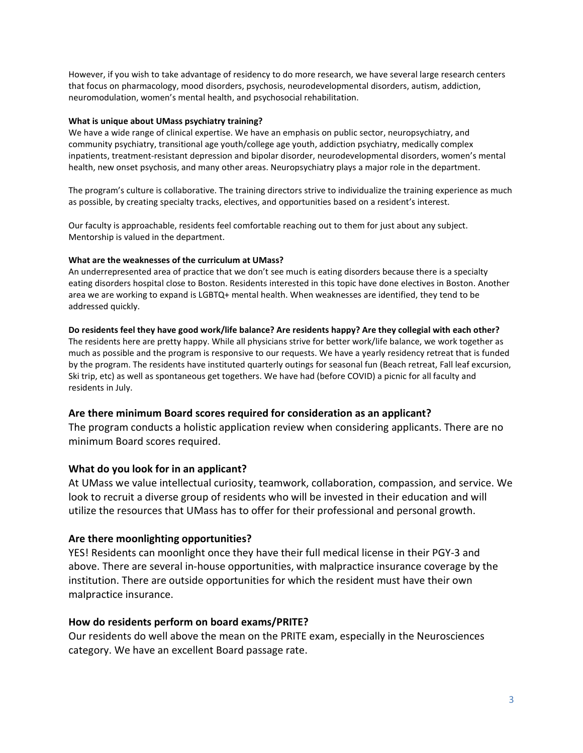However, if you wish to take advantage of residency to do more research, we have several large research centers that focus on pharmacology, mood disorders, psychosis, neurodevelopmental disorders, autism, addiction, neuromodulation, women's mental health, and psychosocial rehabilitation.

## What is unique about UMass psychiatry training?

We have a wide range of clinical expertise. We have an emphasis on public sector, neuropsychiatry, and community psychiatry, transitional age youth/college age youth, addiction psychiatry, medically complex inpatients, treatment-resistant depression and bipolar disorder, neurodevelopmental disorders, women's mental health, new onset psychosis, and many other areas. Neuropsychiatry plays a major role in the department.

The program's culture is collaborative. The training directors strive to individualize the training experience as much as possible, by creating specialty tracks, electives, and opportunities based on a resident's interest.

Our faculty is approachable, residents feel comfortable reaching out to them for just about any subject. Mentorship is valued in the department.

## What are the weaknesses of the curriculum at UMass?

An underrepresented area of practice that we don't see much is eating disorders because there is a specialty eating disorders hospital close to Boston. Residents interested in this topic have done electives in Boston. Another area we are working to expand is LGBTQ+ mental health. When weaknesses are identified, they tend to be addressed quickly.

## Do residents feel they have good work/life balance? Are residents happy? Are they collegial with each other?

The residents here are pretty happy. While all physicians strive for better work/life balance, we work together as much as possible and the program is responsive to our requests. We have a yearly residency retreat that is funded by the program. The residents have instituted quarterly outings for seasonal fun (Beach retreat, Fall leaf excursion, Ski trip, etc) as well as spontaneous get togethers. We have had (before COVID) a picnic for all faculty and residents in July.

## Are there minimum Board scores required for consideration as an applicant?

The program conducts a holistic application review when considering applicants. There are no minimum Board scores required.

## What do you look for in an applicant?

At UMass we value intellectual curiosity, teamwork, collaboration, compassion, and service. We look to recruit a diverse group of residents who will be invested in their education and will utilize the resources that UMass has to offer for their professional and personal growth.

## Are there moonlighting opportunities?

YES! Residents can moonlight once they have their full medical license in their PGY-3 and above. There are several in-house opportunities, with malpractice insurance coverage by the institution. There are outside opportunities for which the resident must have their own malpractice insurance.

## How do residents perform on board exams/PRITE?

Our residents do well above the mean on the PRITE exam, especially in the Neurosciences category. We have an excellent Board passage rate.